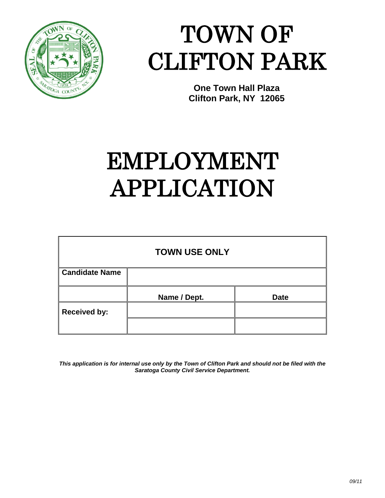

## TOWN OF CLIFTON PARK

**One Town Hall Plaza Clifton Park, NY 12065**

## EMPLOYMENT APPLICATION

|                       | <b>TOWN USE ONLY</b> |             |  |  |  |  |
|-----------------------|----------------------|-------------|--|--|--|--|
| <b>Candidate Name</b> |                      |             |  |  |  |  |
|                       | Name / Dept.         | <b>Date</b> |  |  |  |  |
| <b>Received by:</b>   |                      |             |  |  |  |  |
|                       |                      |             |  |  |  |  |

*This application is for internal use only by the Town of Clifton Park and should not be filed with the Saratoga County Civil Service Department.*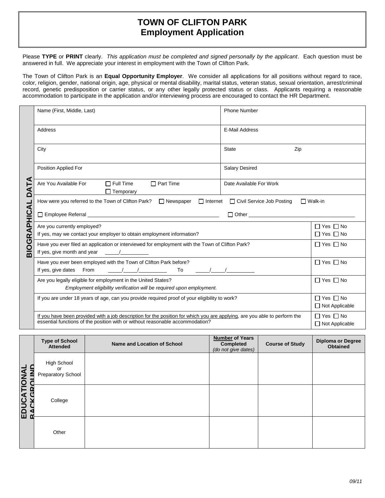## **TOWN OF CLIFTON PARK Employment Application**

Please **TYPE** or **PRINT** clearly. *This application must be completed and signed personally by the applicant*. Each question must be answered in full. We appreciate your interest in employment with the Town of Clifton Park.

The Town of Clifton Park is an **Equal Opportunity Employer**. We consider all applications for all positions without regard to race, color, religion, gender, national origin, age, physical or mental disability, marital status, veteran status, sexual orientation, arrest/criminal record, genetic predisposition or carrier status, or any other legally protected status or class. Applicants requiring a reasonable accommodation to participate in the application and/or interviewing process are encouraged to contact the HR Department.

|                         | Name (First, Middle, Last)                                                                                                                                                                                                                                                                                                                                                                                                | <b>Phone Number</b>     |  |  |  |
|-------------------------|---------------------------------------------------------------------------------------------------------------------------------------------------------------------------------------------------------------------------------------------------------------------------------------------------------------------------------------------------------------------------------------------------------------------------|-------------------------|--|--|--|
|                         | Address                                                                                                                                                                                                                                                                                                                                                                                                                   | E-Mail Address          |  |  |  |
|                         | City                                                                                                                                                                                                                                                                                                                                                                                                                      | <b>State</b><br>Zip     |  |  |  |
|                         | Position Applied For                                                                                                                                                                                                                                                                                                                                                                                                      | <b>Salary Desired</b>   |  |  |  |
| ⋖<br>$\mathbf{r}$<br>ΔÄ | Are You Available For<br>$\Box$ Full Time<br>$\Box$ Part Time<br>$\Box$ Temporary                                                                                                                                                                                                                                                                                                                                         | Date Available For Work |  |  |  |
|                         | □ Internet □ Civil Service Job Posting<br>$\Box$ Walk-in<br>How were you referred to the Town of Clifton Park? $\Box$ Newspaper                                                                                                                                                                                                                                                                                           |                         |  |  |  |
| PHICAL                  | $\Box$ Other $\Box$                                                                                                                                                                                                                                                                                                                                                                                                       |                         |  |  |  |
|                         | Are you currently employed?<br>If yes, may we contact your employer to obtain employment information?                                                                                                                                                                                                                                                                                                                     |                         |  |  |  |
| BIOGRA                  | Have you ever filed an application or interviewed for employment with the Town of Clifton Park?<br>If yes, give month and year $\frac{1}{2}$                                                                                                                                                                                                                                                                              |                         |  |  |  |
|                         | Have you ever been employed with the Town of Clifton Park before?<br>$\frac{1}{2}$ $\frac{1}{2}$ $\frac{1}{2}$ $\frac{1}{2}$ $\frac{1}{2}$ $\frac{1}{2}$ $\frac{1}{2}$ $\frac{1}{2}$ $\frac{1}{2}$ $\frac{1}{2}$ $\frac{1}{2}$ $\frac{1}{2}$ $\frac{1}{2}$ $\frac{1}{2}$ $\frac{1}{2}$ $\frac{1}{2}$ $\frac{1}{2}$ $\frac{1}{2}$ $\frac{1}{2}$ $\frac{1}{2}$ $\frac{1}{2}$ $\frac{1}{2}$<br>If yes, give dates From<br>To |                         |  |  |  |
|                         | Are you legally eligible for employment in the United States?<br>Employment eligibility verification will be required upon employment.                                                                                                                                                                                                                                                                                    |                         |  |  |  |
|                         | If you are under 18 years of age, can you provide required proof of your eligibility to work?                                                                                                                                                                                                                                                                                                                             |                         |  |  |  |
|                         | If you have been provided with a job description for the position for which you are applying, are you able to perform the<br>essential functions of the position with or without reasonable accommodation?                                                                                                                                                                                                                |                         |  |  |  |

|                                          | <b>Type of School</b><br><b>Attended</b>       | Name and Location of School | <b>Number of Years</b><br><b>Completed</b><br>(do not give dates) | <b>Course of Study</b> | <b>Diploma or Degree</b><br><b>Obtained</b> |
|------------------------------------------|------------------------------------------------|-----------------------------|-------------------------------------------------------------------|------------------------|---------------------------------------------|
|                                          | <b>High School</b><br>or<br>Preparatory School |                             |                                                                   |                        |                                             |
| <b>EDUCATIONAL<br/>BACKGROI IND</b><br>ு | College                                        |                             |                                                                   |                        |                                             |
|                                          | Other                                          |                             |                                                                   |                        |                                             |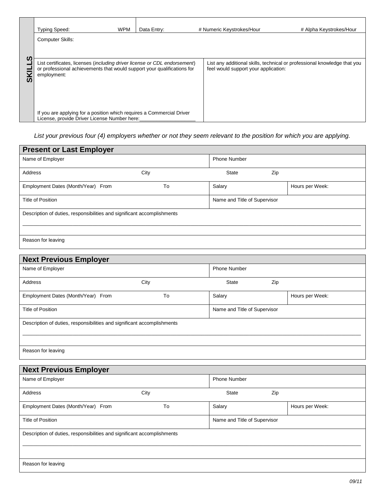|          | <b>Typing Speed:</b>                                                                                                                                                | <b>WPM</b> | Data Entry:                          | # Numeric Keystrokes/Hour                                                | # Alpha Keystrokes/Hour |
|----------|---------------------------------------------------------------------------------------------------------------------------------------------------------------------|------------|--------------------------------------|--------------------------------------------------------------------------|-------------------------|
|          | <b>Computer Skills:</b>                                                                                                                                             |            |                                      |                                                                          |                         |
| <b>S</b> |                                                                                                                                                                     |            |                                      |                                                                          |                         |
| ഗ        | List certificates, licenses (including driver license or CDL endorsement)<br>or professional achievements that would support your qualifications for<br>employment: |            | feel would support your application: | List any additional skills, technical or professional knowledge that you |                         |
|          | If you are applying for a position which requires a Commercial Driver<br>License, provide Driver License Number here:                                               |            |                                      |                                                                          |                         |

*List your previous four (4) employers whether or not they seem relevant to the position for which you are applying.*

| <b>Present or Last Employer</b><br>Name of Employer                     |      | <b>Phone Number</b>          |                 |  |
|-------------------------------------------------------------------------|------|------------------------------|-----------------|--|
| Address                                                                 | City | <b>State</b>                 | Zip             |  |
| Employment Dates (Month/Year) From                                      | To   | Salary                       | Hours per Week: |  |
| Title of Position                                                       |      | Name and Title of Supervisor |                 |  |
| Description of duties, responsibilities and significant accomplishments |      |                              |                 |  |
| Reason for leaving                                                      |      |                              |                 |  |

| Name of Employer                   |      | <b>Phone Number</b>          |                 |
|------------------------------------|------|------------------------------|-----------------|
| <b>Address</b>                     | City | <b>State</b>                 | Zip             |
| Employment Dates (Month/Year) From | To   | Salary                       | Hours per Week: |
| Title of Position                  |      | Name and Title of Supervisor |                 |

| Name of Employer                                                        |      | <b>Phone Number</b>          |                 |
|-------------------------------------------------------------------------|------|------------------------------|-----------------|
| Address                                                                 | City | <b>State</b>                 | Zip             |
| Employment Dates (Month/Year) From                                      | To   | Salary                       | Hours per Week: |
| Title of Position                                                       |      | Name and Title of Supervisor |                 |
| Description of duties, responsibilities and significant accomplishments |      |                              |                 |
| Reason for leaving                                                      |      |                              |                 |